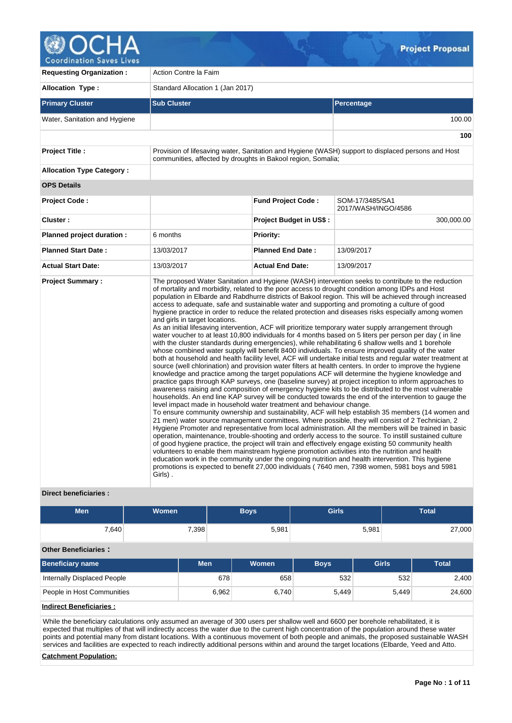

oordination Saves

| <b>Requesting Organization:</b>  | Action Contre la Faim                                                                                             |                                |                                                                                                                                                                                                                                                                                                                                                                                                                                                                                                                                                                                                                                                                                                                                                                                                                                                                                                                                                                                                                                                                                                                                                                                                                                                                                                                                                                                                                                                                                                                                                                                                                                                                                                                                                                                                                                                                                                                                                                                                                                                                                                                                                                                                                                                                                                                                                                                                                                                                         |  |  |  |  |
|----------------------------------|-------------------------------------------------------------------------------------------------------------------|--------------------------------|-------------------------------------------------------------------------------------------------------------------------------------------------------------------------------------------------------------------------------------------------------------------------------------------------------------------------------------------------------------------------------------------------------------------------------------------------------------------------------------------------------------------------------------------------------------------------------------------------------------------------------------------------------------------------------------------------------------------------------------------------------------------------------------------------------------------------------------------------------------------------------------------------------------------------------------------------------------------------------------------------------------------------------------------------------------------------------------------------------------------------------------------------------------------------------------------------------------------------------------------------------------------------------------------------------------------------------------------------------------------------------------------------------------------------------------------------------------------------------------------------------------------------------------------------------------------------------------------------------------------------------------------------------------------------------------------------------------------------------------------------------------------------------------------------------------------------------------------------------------------------------------------------------------------------------------------------------------------------------------------------------------------------------------------------------------------------------------------------------------------------------------------------------------------------------------------------------------------------------------------------------------------------------------------------------------------------------------------------------------------------------------------------------------------------------------------------------------------------|--|--|--|--|
| <b>Allocation Type:</b>          | Standard Allocation 1 (Jan 2017)                                                                                  |                                |                                                                                                                                                                                                                                                                                                                                                                                                                                                                                                                                                                                                                                                                                                                                                                                                                                                                                                                                                                                                                                                                                                                                                                                                                                                                                                                                                                                                                                                                                                                                                                                                                                                                                                                                                                                                                                                                                                                                                                                                                                                                                                                                                                                                                                                                                                                                                                                                                                                                         |  |  |  |  |
| <b>Primary Cluster</b>           | <b>Sub Cluster</b>                                                                                                |                                | Percentage                                                                                                                                                                                                                                                                                                                                                                                                                                                                                                                                                                                                                                                                                                                                                                                                                                                                                                                                                                                                                                                                                                                                                                                                                                                                                                                                                                                                                                                                                                                                                                                                                                                                                                                                                                                                                                                                                                                                                                                                                                                                                                                                                                                                                                                                                                                                                                                                                                                              |  |  |  |  |
| Water, Sanitation and Hygiene    |                                                                                                                   |                                | 100.00                                                                                                                                                                                                                                                                                                                                                                                                                                                                                                                                                                                                                                                                                                                                                                                                                                                                                                                                                                                                                                                                                                                                                                                                                                                                                                                                                                                                                                                                                                                                                                                                                                                                                                                                                                                                                                                                                                                                                                                                                                                                                                                                                                                                                                                                                                                                                                                                                                                                  |  |  |  |  |
|                                  |                                                                                                                   |                                | 100                                                                                                                                                                                                                                                                                                                                                                                                                                                                                                                                                                                                                                                                                                                                                                                                                                                                                                                                                                                                                                                                                                                                                                                                                                                                                                                                                                                                                                                                                                                                                                                                                                                                                                                                                                                                                                                                                                                                                                                                                                                                                                                                                                                                                                                                                                                                                                                                                                                                     |  |  |  |  |
| <b>Project Title:</b>            | communities, affected by droughts in Bakool region, Somalia;                                                      |                                | Provision of lifesaving water, Sanitation and Hygiene (WASH) support to displaced persons and Host                                                                                                                                                                                                                                                                                                                                                                                                                                                                                                                                                                                                                                                                                                                                                                                                                                                                                                                                                                                                                                                                                                                                                                                                                                                                                                                                                                                                                                                                                                                                                                                                                                                                                                                                                                                                                                                                                                                                                                                                                                                                                                                                                                                                                                                                                                                                                                      |  |  |  |  |
| <b>Allocation Type Category:</b> |                                                                                                                   |                                |                                                                                                                                                                                                                                                                                                                                                                                                                                                                                                                                                                                                                                                                                                                                                                                                                                                                                                                                                                                                                                                                                                                                                                                                                                                                                                                                                                                                                                                                                                                                                                                                                                                                                                                                                                                                                                                                                                                                                                                                                                                                                                                                                                                                                                                                                                                                                                                                                                                                         |  |  |  |  |
| <b>OPS Details</b>               |                                                                                                                   |                                |                                                                                                                                                                                                                                                                                                                                                                                                                                                                                                                                                                                                                                                                                                                                                                                                                                                                                                                                                                                                                                                                                                                                                                                                                                                                                                                                                                                                                                                                                                                                                                                                                                                                                                                                                                                                                                                                                                                                                                                                                                                                                                                                                                                                                                                                                                                                                                                                                                                                         |  |  |  |  |
| <b>Project Code:</b>             |                                                                                                                   | <b>Fund Project Code:</b>      | SOM-17/3485/SA1<br>2017/WASH/INGO/4586                                                                                                                                                                                                                                                                                                                                                                                                                                                                                                                                                                                                                                                                                                                                                                                                                                                                                                                                                                                                                                                                                                                                                                                                                                                                                                                                                                                                                                                                                                                                                                                                                                                                                                                                                                                                                                                                                                                                                                                                                                                                                                                                                                                                                                                                                                                                                                                                                                  |  |  |  |  |
| Cluster:                         |                                                                                                                   | <b>Project Budget in US\$:</b> | 300,000.00                                                                                                                                                                                                                                                                                                                                                                                                                                                                                                                                                                                                                                                                                                                                                                                                                                                                                                                                                                                                                                                                                                                                                                                                                                                                                                                                                                                                                                                                                                                                                                                                                                                                                                                                                                                                                                                                                                                                                                                                                                                                                                                                                                                                                                                                                                                                                                                                                                                              |  |  |  |  |
| Planned project duration :       | 6 months                                                                                                          | <b>Priority:</b>               |                                                                                                                                                                                                                                                                                                                                                                                                                                                                                                                                                                                                                                                                                                                                                                                                                                                                                                                                                                                                                                                                                                                                                                                                                                                                                                                                                                                                                                                                                                                                                                                                                                                                                                                                                                                                                                                                                                                                                                                                                                                                                                                                                                                                                                                                                                                                                                                                                                                                         |  |  |  |  |
| <b>Planned Start Date:</b>       | 13/03/2017                                                                                                        | <b>Planned End Date:</b>       | 13/09/2017                                                                                                                                                                                                                                                                                                                                                                                                                                                                                                                                                                                                                                                                                                                                                                                                                                                                                                                                                                                                                                                                                                                                                                                                                                                                                                                                                                                                                                                                                                                                                                                                                                                                                                                                                                                                                                                                                                                                                                                                                                                                                                                                                                                                                                                                                                                                                                                                                                                              |  |  |  |  |
| <b>Actual Start Date:</b>        | 13/03/2017                                                                                                        | <b>Actual End Date:</b>        | 13/09/2017                                                                                                                                                                                                                                                                                                                                                                                                                                                                                                                                                                                                                                                                                                                                                                                                                                                                                                                                                                                                                                                                                                                                                                                                                                                                                                                                                                                                                                                                                                                                                                                                                                                                                                                                                                                                                                                                                                                                                                                                                                                                                                                                                                                                                                                                                                                                                                                                                                                              |  |  |  |  |
| <b>Project Summary:</b>          | and girls in target locations.<br>level impact made in household water treatment and behaviour change.<br>Girls). |                                | The proposed Water Sanitation and Hygiene (WASH) intervention seeks to contribute to the reduction<br>of mortality and morbidity, related to the poor access to drought condition among IDPs and Host<br>population in Elbarde and Rabdhurre districts of Bakool region. This will be achieved through increased<br>access to adequate, safe and sustainable water and supporting and promoting a culture of good<br>hygiene practice in order to reduce the related protection and diseases risks especially among women<br>As an initial lifesaving intervention, ACF will prioritize temporary water supply arrangement through<br>water voucher to at least 10,800 individuals for 4 months based on 5 liters per person per day (in line<br>with the cluster standards during emergencies), while rehabilitating 6 shallow wells and 1 borehole<br>whose combined water supply will benefit 8400 individuals. To ensure improved quality of the water<br>both at household and health facility level, ACF will undertake initial tests and regular water treatment at<br>source (well chlorination) and provision water filters at health centers. In order to improve the hygiene<br>knowledge and practice among the target populations ACF will determine the hygiene knowledge and<br>practice gaps through KAP surveys, one (baseline survey) at project inception to inform approaches to<br>awareness raising and composition of emergency hygiene kits to be distributed to the most vulnerable<br>households. An end line KAP survey will be conducted towards the end of the intervention to gauge the<br>To ensure community ownership and sustainability, ACF will help establish 35 members (14 women and<br>21 men) water source management committees. Where possible, they will consist of 2 Technician, 2<br>Hygiene Promoter and representative from local administration. All the members will be trained in basic<br>operation, maintenance, trouble-shooting and orderly access to the source. To instill sustained culture<br>of good hygiene practice, the project will train and effectively engage existing 50 community health<br>volunteers to enable them mainstream hygiene promotion activities into the nutrition and health<br>education work in the community under the ongoing nutrition and health intervention. This hygiene<br>promotions is expected to benefit 27,000 individuals (7640 men, 7398 women, 5981 boys and 5981 |  |  |  |  |

## **Direct beneficiaries :**

| <b>Men</b> | <b>Women</b> | Boys' | <b>Girls</b> | <b>Total</b> |
|------------|--------------|-------|--------------|--------------|
| 7,640      | 7,398        | 5,981 | 5,981        | 27,000       |

# **Other Beneficiaries :**

| Beneficiary name            | <b>Men</b> | <b>Women</b> | <b>Boys</b> | Girls | <b>Total</b> |
|-----------------------------|------------|--------------|-------------|-------|--------------|
| Internally Displaced People | 678        | 658          | 532         | 532   | 2,400        |
| People in Host Communities  | 6,962      | 6.740        | 5.449       | 5.449 | 24.600       |
| Indirect Beneficiaries ·    |            |              |             |       |              |

## **Indirect Beneficiaries :**

While the beneficiary calculations only assumed an average of 300 users per shallow well and 6600 per borehole rehabilitated, it is expected that multiples of that will indirectly access the water due to the current high concentration of the population around these water points and potential many from distant locations. With a continuous movement of both people and animals, the proposed sustainable WASH services and facilities are expected to reach indirectly additional persons within and around the target locations (Elbarde, Yeed and Atto.

## **Catchment Population:**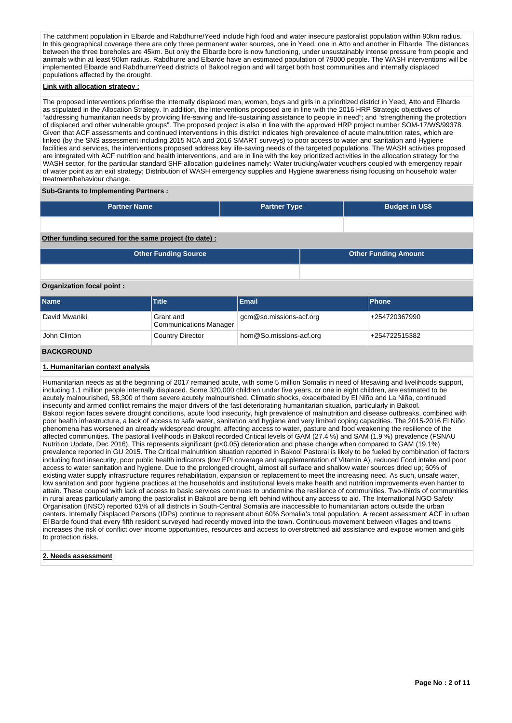The catchment population in Elbarde and Rabdhurre/Yeed include high food and water insecure pastoralist population within 90km radius. In this geographical coverage there are only three permanent water sources, one in Yeed, one in Atto and another in Elbarde. The distances between the three boreholes are 45km. But only the Elbarde bore is now functioning, under unsustainably intense pressure from people and animals within at least 90km radius. Rabdhurre and Elbarde have an estimated population of 79000 people. The WASH interventions will be implemented Elbarde and Rabdhurre/Yeed districts of Bakool region and will target both host communities and internally displaced populations affected by the drought.

#### **Link with allocation strategy :**

The proposed interventions prioritise the internally displaced men, women, boys and girls in a prioritized district in Yeed, Atto and Elbarde as stipulated in the Allocation Strategy. In addition, the interventions proposed are in line with the 2016 HRP Strategic objectives of "addressing humanitarian needs by providing life-saving and life-sustaining assistance to people in need"; and "strengthening the protection of displaced and other vulnerable groups". The proposed project is also in line with the approved HRP project number SOM-17/WS/99378. Given that ACF assessments and continued interventions in this district indicates high prevalence of acute malnutrition rates, which are linked (by the SNS assessment including 2015 NCA and 2016 SMART surveys) to poor access to water and sanitation and Hygiene facilities and services, the interventions proposed address key life-saving needs of the targeted populations. The WASH activities proposed are integrated with ACF nutrition and health interventions, and are in line with the key prioritized activities in the allocation strategy for the WASH sector, for the particular standard SHF allocation guidelines namely: Water trucking/water vouchers coupled with emergency repair of water point as an exit strategy; Distribution of WASH emergency supplies and Hygiene awareness rising focusing on household water treatment/behaviour change.

#### **Sub-Grants to Implementing Partners :**

| <b>Partner Name</b>                                   | <b>Partner Type</b> | <b>Budget in US\$</b>       |  |
|-------------------------------------------------------|---------------------|-----------------------------|--|
|                                                       |                     |                             |  |
| Other funding secured for the same project (to date): |                     |                             |  |
| Other Funding Source                                  |                     | <b>Other Funding Amount</b> |  |
|                                                       |                     |                             |  |

## **Organization focal point :**

| <b>Name</b>   | Title                                      | Email                   | <b>IPhone</b> |
|---------------|--------------------------------------------|-------------------------|---------------|
| David Mwaniki | Grant and<br><b>Communications Manager</b> | gcm@so.missions-acf.org | +254720367990 |
| John Clinton  | <b>Country Director</b>                    | hom@So.missions-acf.org | +254722515382 |

#### **BACKGROUND**

## **1. Humanitarian context analysis**

Humanitarian needs as at the beginning of 2017 remained acute, with some 5 million Somalis in need of lifesaving and livelihoods support, including 1.1 million people internally displaced. Some 320,000 children under five years, or one in eight children, are estimated to be acutely malnourished, 58,300 of them severe acutely malnourished. Climatic shocks, exacerbated by El Niño and La Niña, continued insecurity and armed conflict remains the major drivers of the fast deteriorating humanitarian situation, particularly in Bakool. Bakool region faces severe drought conditions, acute food insecurity, high prevalence of malnutrition and disease outbreaks, combined with poor health infrastructure, a lack of access to safe water, sanitation and hygiene and very limited coping capacities. The 2015-2016 El Niño phenomena has worsened an already widespread drought, affecting access to water, pasture and food weakening the resilience of the affected communities. The pastoral livelihoods in Bakool recorded Critical levels of GAM (27.4 %) and SAM (1.9 %) prevalence (FSNAU Nutrition Update, Dec 2016). This represents significant (p<0.05) deterioration and phase change when compared to GAM (19.1%) prevalence reported in GU 2015. The Critical malnutrition situation reported in Bakool Pastoral is likely to be fueled by combination of factors including food insecurity, poor public health indicators (low EPI coverage and supplementation of Vitamin A), reduced Food intake and poor access to water sanitation and hygiene. Due to the prolonged drought, almost all surface and shallow water sources dried up; 60% of existing water supply infrastructure requires rehabilitation, expansion or replacement to meet the increasing need. As such, unsafe water, low sanitation and poor hygiene practices at the households and institutional levels make health and nutrition improvements even harder to attain. These coupled with lack of access to basic services continues to undermine the resilience of communities. Two-thirds of communities in rural areas particularly among the pastoralist in Bakool are being left behind without any access to aid. The International NGO Safety Organisation (INSO) reported 61% of all districts in South-Central Somalia are inaccessible to humanitarian actors outside the urban centers. Internally Displaced Persons (IDPs) continue to represent about 60% Somalia's total population. A recent assessment ACF in urban El Barde found that every fifth resident surveyed had recently moved into the town. Continuous movement between villages and towns increases the risk of conflict over income opportunities, resources and access to overstretched aid assistance and expose women and girls to protection risks.

#### **2. Needs assessment**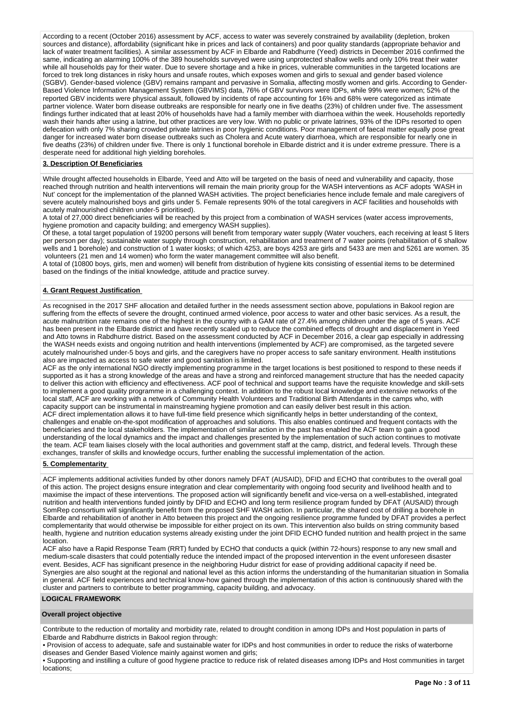According to a recent (October 2016) assessment by ACF, access to water was severely constrained by availability (depletion, broken sources and distance), affordability (significant hike in prices and lack of containers) and poor quality standards (appropriate behavior and lack of water treatment facilities). A similar assessment by ACF in Elbarde and Rabdhurre (Yeed) districts in December 2016 confirmed the same, indicating an alarming 100% of the 389 households surveyed were using unprotected shallow wells and only 10% treat their water while all households pay for their water. Due to severe shortage and a hike in prices, vulnerable communities in the targeted locations are forced to trek long distances in risky hours and unsafe routes, which exposes women and girls to sexual and gender based violence (SGBV). Gender-based violence (GBV) remains rampant and pervasive in Somalia, affecting mostly women and girls. According to Gender-Based Violence Information Management System (GBVIMS) data, 76% of GBV survivors were IDPs, while 99% were women; 52% of the reported GBV incidents were physical assault, followed by incidents of rape accounting for 16% and 68% were categorized as intimate partner violence. Water born disease outbreaks are responsible for nearly one in five deaths (23%) of children under five. The assessment findings further indicated that at least 20% of households have had a family member with diarrhoea within the week. Households reportedly wash their hands after using a latrine, but other practices are very low. With no public or private latrines, 93% of the IDPs resorted to open defecation with only 7% sharing crowded private latrines in poor hygienic conditions. Poor management of faecal matter equally pose great danger for increased water born disease outbreaks such as Cholera and Acute watery diarrhoea, which are responsible for nearly one in five deaths (23%) of children under five. There is only 1 functional borehole in Elbarde district and it is under extreme pressure. There is a desperate need for additional high yielding boreholes.

### **3. Description Of Beneficiaries**

While drought affected households in Elbarde, Yeed and Atto will be targeted on the basis of need and vulnerability and capacity, those reached through nutrition and health interventions will remain the main priority group for the WASH interventions as ACF adopts 'WASH in Nut' concept for the implementation of the planned WASH activities. The project beneficiaries hence include female and male caregivers of severe acutely malnourished boys and girls under 5. Female represents 90% of the total caregivers in ACF facilities and households with acutely malnourished children under-5 prioritised).

A total of 27,000 direct beneficiaries will be reached by this project from a combination of WASH services (water access improvements, hygiene promotion and capacity building; and emergency WASH supplies).

Of these, a total target population of 19200 persons will benefit from temporary water supply (Water vouchers, each receiving at least 5 liters per person per day); sustainable water supply through construction, rehabilitation and treatment of 7 water points (rehabilitation of 6 shallow wells and 1 borehole) and construction of 1 water kiosks; of which 4253, are boys 4253 are girls and 5433 are men and 5261 are women. 35 volunteers (21 men and 14 women) who form the water management committee will also benefit.

A total of (10800 boys, girls, men and women) will benefit from distribution of hygiene kits consisting of essential items to be determined based on the findings of the initial knowledge, attitude and practice survey.

## **4. Grant Request Justification**

As recognised in the 2017 SHF allocation and detailed further in the needs assessment section above, populations in Bakool region are suffering from the effects of severe the drought, continued armed violence, poor access to water and other basic services. As a result, the acute malnutrition rate remains one of the highest in the country with a GAM rate of 27.4% among children under the age of 5 years. ACF has been present in the Elbarde district and have recently scaled up to reduce the combined effects of drought and displacement in Yeed and Atto towns in Rabdhurre district. Based on the assessment conducted by ACF in December 2016, a clear gap especially in addressing the WASH needs exists and ongoing nutrition and health interventions (implemented by ACF) are compromised, as the targeted severe acutely malnourished under-5 boys and girls, and the caregivers have no proper access to safe sanitary environment. Health institutions also are impacted as access to safe water and good sanitation is limited.

ACF as the only international NGO directly implementing programme in the target locations is best positioned to respond to these needs if supported as it has a strong knowledge of the areas and have a strong and reinforced management structure that has the needed capacity to deliver this action with efficiency and effectiveness. ACF pool of technical and support teams have the requisite knowledge and skill-sets to implement a good quality programme in a challenging context. In addition to the robust local knowledge and extensive networks of the local staff, ACF are working with a network of Community Health Volunteers and Traditional Birth Attendants in the camps who, with capacity support can be instrumental in mainstreaming hygiene promotion and can easily deliver best result in this action. ACF direct implementation allows it to have full-time field presence which significantly helps in better understanding of the context, challenges and enable on-the-spot modification of approaches and solutions. This also enables continued and frequent contacts with the beneficiaries and the local stakeholders. The implementation of similar action in the past has enabled the ACF team to gain a good understanding of the local dynamics and the impact and challenges presented by the implementation of such action continues to motivate the team. ACF team liaises closely with the local authorities and government staff at the camp, district, and federal levels. Through these exchanges, transfer of skills and knowledge occurs, further enabling the successful implementation of the action.

### **5. Complementarity**

ACF implements additional activities funded by other donors namely DFAT (AUSAID), DFID and ECHO that contributes to the overall goal of this action. The project designs ensure integration and clear complementarity with ongoing food security and livelihood health and to maximise the impact of these interventions. The proposed action will significantly benefit and vice-versa on a well-established, integrated nutrition and health interventions funded jointly by DFID and ECHO and long term resilience program funded by DFAT (AUSAID) through SomRep consortium will significantly benefit from the proposed SHF WASH action. In particular, the shared cost of drilling a borehole in Elbarde and rehabilitation of another in Atto between this project and the ongoing resilience programme funded by DFAT provides a perfect complementarity that would otherwise be impossible for either project on its own. This intervention also builds on string community based health, hygiene and nutrition education systems already existing under the joint DFID ECHO funded nutrition and health project in the same location.

ACF also have a Rapid Response Team (RRT) funded by ECHO that conducts a quick (within 72-hours) response to any new small and medium-scale disasters that could potentially reduce the intended impact of the proposed intervention in the event unforeseen disaster event. Besides, ACF has significant presence in the neighboring Hudur district for ease of providing additional capacity if need be. Synergies are also sought at the regional and national level as this action informs the understanding of the humanitarian situation in Somalia in general. ACF field experiences and technical know-how gained through the implementation of this action is continuously shared with the cluster and partners to contribute to better programming, capacity building, and advocacy.

### **LOGICAL FRAMEWORK**

### **Overall project objective**

Contribute to the reduction of mortality and morbidity rate, related to drought condition in among IDPs and Host population in parts of Elbarde and Rabdhurre districts in Bakool region through:

• Provision of access to adequate, safe and sustainable water for IDPs and host communities in order to reduce the risks of waterborne diseases and Gender Based Violence mainly against women and girls;

• Supporting and instilling a culture of good hygiene practice to reduce risk of related diseases among IDPs and Host communities in target locations;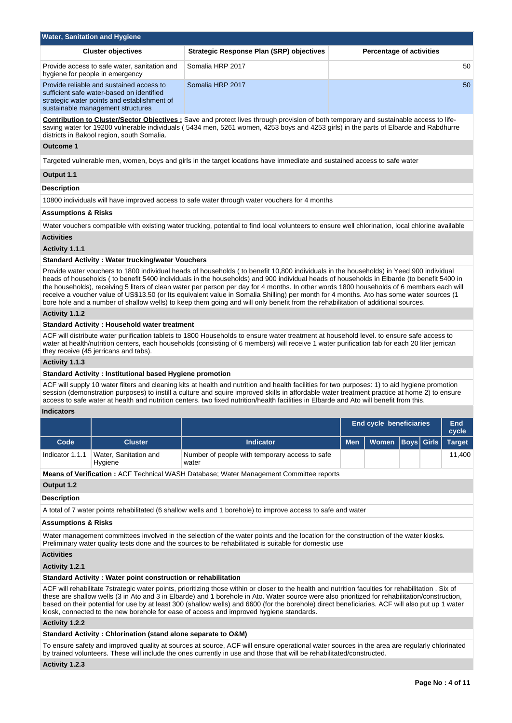| <b>Water, Sanitation and Hygiene</b>                                                                                                                                      |                                                                                                                                                                                                                                                                                      |                                 |
|---------------------------------------------------------------------------------------------------------------------------------------------------------------------------|--------------------------------------------------------------------------------------------------------------------------------------------------------------------------------------------------------------------------------------------------------------------------------------|---------------------------------|
| <b>Cluster objectives</b>                                                                                                                                                 | Strategic Response Plan (SRP) objectives                                                                                                                                                                                                                                             | <b>Percentage of activities</b> |
| Provide access to safe water, sanitation and<br>hygiene for people in emergency                                                                                           | Somalia HRP 2017                                                                                                                                                                                                                                                                     | 50                              |
| Provide reliable and sustained access to<br>sufficient safe water-based on identified<br>strategic water points and establishment of<br>sustainable management structures | Somalia HRP 2017                                                                                                                                                                                                                                                                     | 50                              |
| districts in Bakool region, south Somalia.                                                                                                                                | <b>Contribution to Cluster/Sector Objectives:</b> Save and protect lives through provision of both temporary and sustainable access to life-<br>saving water for 19200 vulnerable individuals (5434 men, 5261 women, 4253 boys and 4253 girls) in the parts of Elbarde and Rabdhurre |                                 |
| <b>Outcome 1</b>                                                                                                                                                          |                                                                                                                                                                                                                                                                                      |                                 |
|                                                                                                                                                                           | Targeted vulnerable men, women, boys and girls in the target locations have immediate and sustained access to safe water                                                                                                                                                             |                                 |
| Output 1.1                                                                                                                                                                |                                                                                                                                                                                                                                                                                      |                                 |
| <b>Description</b>                                                                                                                                                        |                                                                                                                                                                                                                                                                                      |                                 |
|                                                                                                                                                                           | 10800 individuals will have improved access to safe water through water vouchers for 4 months                                                                                                                                                                                        |                                 |
| <b>Assumptions &amp; Risks</b>                                                                                                                                            |                                                                                                                                                                                                                                                                                      |                                 |
|                                                                                                                                                                           | Water vouchers compatible with existing water trucking, potential to find local volunteers to ensure well chlorination, local chlorine available                                                                                                                                     |                                 |

#### **Activities**

#### **Activity 1.1.1**

## **Standard Activity : Water trucking/water Vouchers**

Provide water vouchers to 1800 individual heads of households ( to benefit 10,800 individuals in the households) in Yeed 900 individual heads of households ( to benefit 5400 individuals in the households) and 900 individual heads of households in Elbarde (to benefit 5400 in the households), receiving 5 liters of clean water per person per day for 4 months. In other words 1800 households of 6 members each will receive a voucher value of US\$13.50 (or Its equivalent value in Somalia Shilling) per month for 4 months. Ato has some water sources (1 bore hole and a number of shallow wells) to keep them going and will only benefit from the rehabilitation of additional sources.

### **Activity 1.1.2**

#### **Standard Activity : Household water treatment**

ACF will distribute water purification tablets to 1800 Households to ensure water treatment at household level. to ensure safe access to water at health/nutrition centers, each households (consisting of 6 members) will receive 1 water purification tab for each 20 liter jerrican they receive (45 jerricans and tabs).

#### **Activity 1.1.3**

### **Standard Activity : Institutional based Hygiene promotion**

ACF will supply 10 water filters and cleaning kits at health and nutrition and health facilities for two purposes: 1) to aid hygiene promotion session (demonstration purposes) to instill a culture and squire improved skills in affordable water treatment practice at home 2) to ensure access to safe water at health and nutrition centers. two fixed nutrition/health facilities in Elbarde and Ato will benefit from this.

#### **Indicators**

|                 |                                  |                                                         |                                     | <b>End cycle beneficiaries</b> |  |        |  |
|-----------------|----------------------------------|---------------------------------------------------------|-------------------------------------|--------------------------------|--|--------|--|
| Code            | <b>Cluster</b>                   | <b>Indicator</b>                                        | Men   Women   Boys   Girls   Target |                                |  |        |  |
| Indicator 1.1.1 | Water, Sanitation and<br>Hygiene | Number of people with temporary access to safe<br>water |                                     |                                |  | 11.400 |  |

**Means of Verification :** ACF Technical WASH Database; Water Management Committee reports

# **Output 1.2**

## **Description**

A total of 7 water points rehabilitated (6 shallow wells and 1 borehole) to improve access to safe and water

# **Assumptions & Risks**

Water management committees involved in the selection of the water points and the location for the construction of the water kiosks. Preliminary water quality tests done and the sources to be rehabilitated is suitable for domestic use

#### **Activities**

## **Activity 1.2.1**

### **Standard Activity : Water point construction or rehabilitation**

ACF will rehabilitate 7strategic water points, prioritizing those within or closer to the health and nutrition faculties for rehabilitation . Six of these are shallow wells (3 in Ato and 3 in Elbarde) and 1 borehole in Ato. Water source were also prioritized for rehabilitation/construction, based on their potential for use by at least 300 (shallow wells) and 6600 (for the borehole) direct beneficiaries. ACF will also put up 1 water kiosk, connected to the new borehole for ease of access and improved hygiene standards.

## **Activity 1.2.2**

## **Standard Activity : Chlorination (stand alone separate to O&M)**

To ensure safety and improved quality at sources at source, ACF will ensure operational water sources in the area are regularly chlorinated by trained volunteers. These will include the ones currently in use and those that will be rehabilitated/constructed.

### **Activity 1.2.3**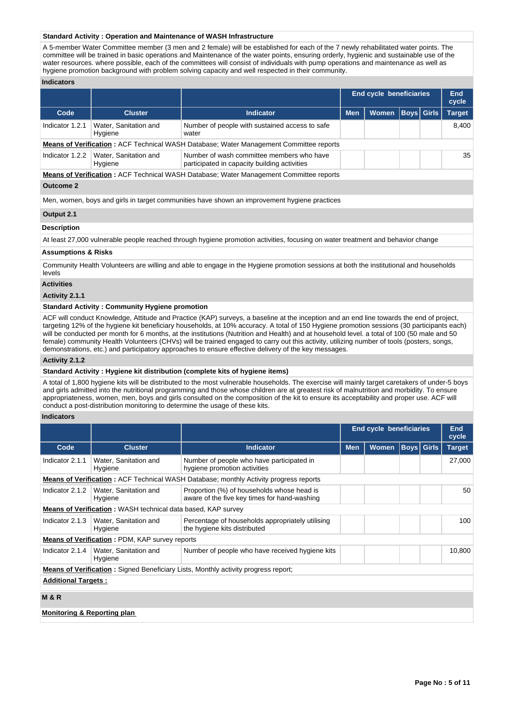## **Standard Activity : Operation and Maintenance of WASH Infrastructure**

A 5-member Water Committee member (3 men and 2 female) will be established for each of the 7 newly rehabilitated water points. The committee will be trained in basic operations and Maintenance of the water points, ensuring orderly, hygienic and sustainable use of the water resources. where possible, each of the committees will consist of individuals with pump operations and maintenance as well as hygiene promotion background with problem solving capacity and well respected in their community.

## **Indicators**

|                 |                                  |                                                                                               | <b>End cycle beneficiaries</b> |              | End<br>cycle |                       |               |
|-----------------|----------------------------------|-----------------------------------------------------------------------------------------------|--------------------------------|--------------|--------------|-----------------------|---------------|
| Code            | <b>Cluster</b>                   | <b>Indicator</b>                                                                              | <b>Men</b>                     | <b>Women</b> |              | <b>Boys   Girls  </b> | <b>Target</b> |
| Indicator 1.2.1 | Water, Sanitation and<br>Hygiene | Number of people with sustained access to safe<br>water                                       |                                |              |              |                       | 8.400         |
|                 |                                  | <b>Means of Verification:</b> ACF Technical WASH Database: Water Management Committee reports |                                |              |              |                       |               |
| Indicator 1.2.2 | Water, Sanitation and<br>Hygiene | Number of wash committee members who have<br>participated in capacity building activities     |                                |              |              |                       | 35            |
|                 |                                  | <b>Means of Verification:</b> ACF Technical WASH Database: Water Management Committee reports |                                |              |              |                       |               |
| Outcome 2       |                                  |                                                                                               |                                |              |              |                       |               |
|                 |                                  | Men, women, boys and girls in target communities have shown an improvement hygiene practices  |                                |              |              |                       |               |
| Output 2.1      |                                  |                                                                                               |                                |              |              |                       |               |

# **Description**

At least 27,000 vulnerable people reached through hygiene promotion activities, focusing on water treatment and behavior change

#### **Assumptions & Risks**

Community Health Volunteers are willing and able to engage in the Hygiene promotion sessions at both the institutional and households levels

#### **Activities**

## **Activity 2.1.1**

## **Standard Activity : Community Hygiene promotion**

ACF will conduct Knowledge, Attitude and Practice (KAP) surveys, a baseline at the inception and an end line towards the end of project, targeting 12% of the hygiene kit beneficiary households, at 10% accuracy. A total of 150 Hygiene promotion sessions (30 participants each) will be conducted per month for 6 months, at the institutions (Nutrition and Health) and at household level. a total of 100 (50 male and 50 female) community Health Volunteers (CHVs) will be trained engaged to carry out this activity, utilizing number of tools (posters, songs, demonstrations, etc.) and participatory approaches to ensure effective delivery of the key messages.

#### **Activity 2.1.2**

## **Standard Activity : Hygiene kit distribution (complete kits of hygiene items)**

A total of 1,800 hygiene kits will be distributed to the most vulnerable households. The exercise will mainly target caretakers of under-5 boys and girls admitted into the nutritional programming and those whose children are at greatest risk of malnutrition and morbidity. To ensure appropriateness, women, men, boys and girls consulted on the composition of the kit to ensure its acceptability and proper use. ACF will conduct a post-distribution monitoring to determine the usage of these kits.

## **Indicators**

|                                        |                                                                     |                                                                                              | <b>End cycle beneficiaries</b> |              |                   |               | <b>End</b><br>cycle |
|----------------------------------------|---------------------------------------------------------------------|----------------------------------------------------------------------------------------------|--------------------------------|--------------|-------------------|---------------|---------------------|
| Code                                   | <b>Cluster</b>                                                      | <b>Indicator</b>                                                                             | <b>Men</b>                     | <b>Women</b> | <b>Boys</b> Girls | <b>Target</b> |                     |
| Indicator 2.1.1                        | Water, Sanitation and<br>Hygiene                                    | Number of people who have participated in<br>hygiene promotion activities                    |                                |              |                   |               | 27,000              |
|                                        |                                                                     | <b>Means of Verification:</b> ACF Technical WASH Database; monthly Activity progress reports |                                |              |                   |               |                     |
| Indicator 2.1.2                        | Water, Sanitation and<br>Hygiene                                    | Proportion (%) of households whose head is<br>aware of the five key times for hand-washing   |                                |              |                   |               | 50                  |
|                                        | <b>Means of Verification: WASH technical data based, KAP survey</b> |                                                                                              |                                |              |                   |               |                     |
| Indicator 2.1.3                        | Water, Sanitation and<br>Hygiene                                    | Percentage of households appropriately utilising<br>the hygiene kits distributed             |                                |              |                   |               | 100                 |
|                                        | <b>Means of Verification</b> : PDM, KAP survey reports              |                                                                                              |                                |              |                   |               |                     |
| Indicator 2.1.4                        | Water, Sanitation and<br>Hygiene                                    | Number of people who have received hygiene kits                                              |                                |              |                   |               | 10,800              |
|                                        |                                                                     | <b>Means of Verification:</b> Signed Beneficiary Lists, Monthly activity progress report;    |                                |              |                   |               |                     |
| <b>Additional Targets:</b>             |                                                                     |                                                                                              |                                |              |                   |               |                     |
| <b>M&amp;R</b>                         |                                                                     |                                                                                              |                                |              |                   |               |                     |
| <b>Monitoring &amp; Reporting plan</b> |                                                                     |                                                                                              |                                |              |                   |               |                     |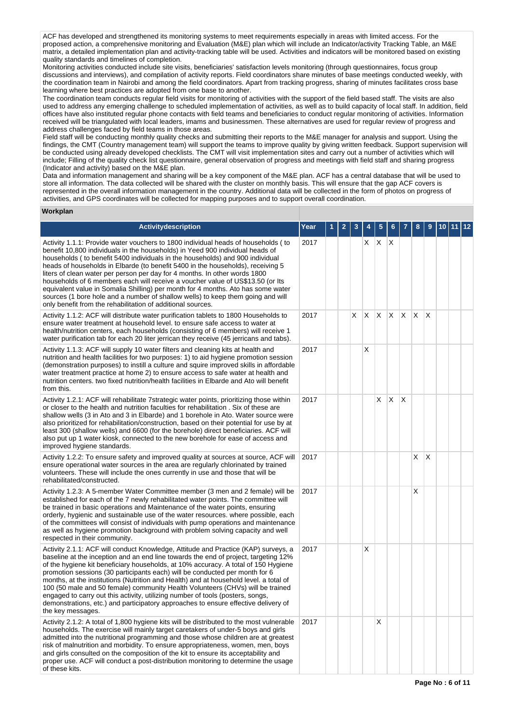ACF has developed and strengthened its monitoring systems to meet requirements especially in areas with limited access. For the proposed action, a comprehensive monitoring and Evaluation (M&E) plan which will include an Indicator/activity Tracking Table, an M&E matrix, a detailed implementation plan and activity-tracking table will be used. Activities and indicators will be monitored based on existing quality standards and timelines of completion.

Monitoring activities conducted include site visits, beneficiaries' satisfaction levels monitoring (through questionnaires, focus group discussions and interviews), and compilation of activity reports. Field coordinators share minutes of base meetings conducted weekly, with the coordination team in Nairobi and among the field coordinators. Apart from tracking progress, sharing of minutes facilitates cross base learning where best practices are adopted from one base to another.

The coordination team conducts regular field visits for monitoring of activities with the support of the field based staff. The visits are also used to address any emerging challenge to scheduled implementation of activities, as well as to build capacity of local staff. In addition, field offices have also instituted regular phone contacts with field teams and beneficiaries to conduct regular monitoring of activities. Information received will be triangulated with local leaders, imams and businessmen. These alternatives are used for regular review of progress and address challenges faced by field teams in those areas.

Field staff will be conducting monthly quality checks and submitting their reports to the M&E manager for analysis and support. Using the findings, the CMT (Country management team) will support the teams to improve quality by giving written feedback. Support supervision will be conducted using already developed checklists. The CMT will visit implementation sites and carry out a number of activities which will include; Filling of the quality check list questionnaire, general observation of progress and meetings with field staff and sharing progress (Indicator and activity) based on the M&E plan.

Data and information management and sharing will be a key component of the M&E plan. ACF has a central database that will be used to store all information. The data collected will be shared with the cluster on monthly basis. This will ensure that the gap ACF covers is represented in the overall information management in the country. Additional data will be collected in the form of photos on progress of activities, and GPS coordinates will be collected for mapping purposes and to support overall coordination.

### **Workplan**

| Activitydescription                                                                                                                                                                                                                                                                                                                                                                                                                                                                                                                                                                                                                                                                                                                          | Year | 1 | $\overline{2}$ | 3 | 4  | 5  |          |          | 8  | 9 | 10 | 11 | $ 12\rangle$ |
|----------------------------------------------------------------------------------------------------------------------------------------------------------------------------------------------------------------------------------------------------------------------------------------------------------------------------------------------------------------------------------------------------------------------------------------------------------------------------------------------------------------------------------------------------------------------------------------------------------------------------------------------------------------------------------------------------------------------------------------------|------|---|----------------|---|----|----|----------|----------|----|---|----|----|--------------|
| Activity 1.1.1: Provide water vouchers to 1800 individual heads of households (to<br>benefit 10,800 individuals in the households) in Yeed 900 individual heads of<br>households (to benefit 5400 individuals in the households) and 900 individual<br>heads of households in Elbarde (to benefit 5400 in the households), receiving 5<br>liters of clean water per person per day for 4 months. In other words 1800<br>households of 6 members each will receive a voucher value of US\$13.50 (or Its<br>equivalent value in Somalia Shilling) per month for 4 months. Ato has some water<br>sources (1 bore hole and a number of shallow wells) to keep them going and will<br>only benefit from the rehabilitation of additional sources. | 2017 |   |                |   | X. | X. | X        |          |    |   |    |    |              |
| Activity 1.1.2: ACF will distribute water purification tablets to 1800 Households to<br>ensure water treatment at household level, to ensure safe access to water at<br>health/nutrition centers, each households (consisting of 6 members) will receive 1<br>water purification tab for each 20 liter jerrican they receive (45 jerricans and tabs).                                                                                                                                                                                                                                                                                                                                                                                        | 2017 |   |                | X | X  | X  | X        | X        | X  | X |    |    |              |
| Activity 1.1.3: ACF will supply 10 water filters and cleaning kits at health and<br>nutrition and health facilities for two purposes: 1) to aid hygiene promotion session<br>(demonstration purposes) to instill a culture and squire improved skills in affordable<br>water treatment practice at home 2) to ensure access to safe water at health and<br>nutrition centers, two fixed nutrition/health facilities in Elbarde and Ato will benefit<br>from this.                                                                                                                                                                                                                                                                            | 2017 |   |                |   | X  |    |          |          |    |   |    |    |              |
| Activity 1.2.1: ACF will rehabilitate 7strategic water points, prioritizing those within<br>or closer to the health and nutrition faculties for rehabilitation. Six of these are<br>shallow wells (3 in Ato and 3 in Elbarde) and 1 borehole in Ato. Water source were<br>also prioritized for rehabilitation/construction, based on their potential for use by at<br>least 300 (shallow wells) and 6600 (for the borehole) direct beneficiaries. ACF will<br>also put up 1 water kiosk, connected to the new borehole for ease of access and<br>improved hygiene standards.                                                                                                                                                                 | 2017 |   |                |   |    | X  | $\times$ | $\times$ |    |   |    |    |              |
| Activity 1.2.2: To ensure safety and improved quality at sources at source, ACF will<br>ensure operational water sources in the area are regularly chlorinated by trained<br>volunteers. These will include the ones currently in use and those that will be<br>rehabilitated/constructed.                                                                                                                                                                                                                                                                                                                                                                                                                                                   | 2017 |   |                |   |    |    |          |          | X. | X |    |    |              |
| Activity 1.2.3: A 5-member Water Committee member (3 men and 2 female) will be<br>established for each of the 7 newly rehabilitated water points. The committee will<br>be trained in basic operations and Maintenance of the water points, ensuring<br>orderly, hygienic and sustainable use of the water resources. where possible, each<br>of the committees will consist of individuals with pump operations and maintenance<br>as well as hygiene promotion background with problem solving capacity and well<br>respected in their community.                                                                                                                                                                                          | 2017 |   |                |   |    |    |          |          | X  |   |    |    |              |
| Activity 2.1.1: ACF will conduct Knowledge, Attitude and Practice (KAP) surveys, a<br>baseline at the inception and an end line towards the end of project, targeting 12%<br>of the hygiene kit beneficiary households, at 10% accuracy. A total of 150 Hygiene<br>promotion sessions (30 participants each) will be conducted per month for 6<br>months, at the institutions (Nutrition and Health) and at household level, a total of<br>100 (50 male and 50 female) community Health Volunteers (CHVs) will be trained<br>engaged to carry out this activity, utilizing number of tools (posters, songs,<br>demonstrations, etc.) and participatory approaches to ensure effective delivery of<br>the key messages.                       | 2017 |   |                |   | X  |    |          |          |    |   |    |    |              |
| Activity 2.1.2: A total of 1,800 hygiene kits will be distributed to the most vulnerable<br>households. The exercise will mainly target caretakers of under-5 boys and girls<br>admitted into the nutritional programming and those whose children are at greatest<br>risk of malnutrition and morbidity. To ensure appropriateness, women, men, boys<br>and girls consulted on the composition of the kit to ensure its acceptability and<br>proper use. ACF will conduct a post-distribution monitoring to determine the usage<br>of these kits.                                                                                                                                                                                           | 2017 |   |                |   |    | X  |          |          |    |   |    |    |              |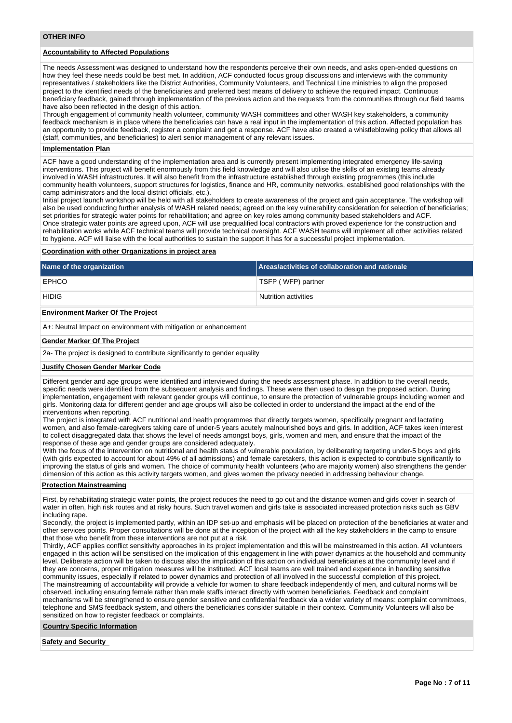## **Accountability to Affected Populations**

The needs Assessment was designed to understand how the respondents perceive their own needs, and asks open-ended questions on how they feel these needs could be best met. In addition, ACF conducted focus group discussions and interviews with the community representatives / stakeholders like the District Authorities, Community Volunteers, and Technical Line ministries to align the proposed project to the identified needs of the beneficiaries and preferred best means of delivery to achieve the required impact. Continuous beneficiary feedback, gained through implementation of the previous action and the requests from the communities through our field teams have also been reflected in the design of this action.

Through engagement of community health volunteer, community WASH committees and other WASH key stakeholders, a community feedback mechanism is in place where the beneficiaries can have a real input in the implementation of this action. Affected population has an opportunity to provide feedback, register a complaint and get a response. ACF have also created a whistleblowing policy that allows all (staff, communities, and beneficiaries) to alert senior management of any relevant issues.

#### **Implementation Plan**

ACF have a good understanding of the implementation area and is currently present implementing integrated emergency life-saving interventions. This project will benefit enormously from this field knowledge and will also utilise the skills of an existing teams already involved in WASH infrastructures. It will also benefit from the infrastructure established through existing programmes (this include community health volunteers, support structures for logistics, finance and HR, community networks, established good relationships with the camp administrators and the local district officials, etc.).

Initial project launch workshop will be held with all stakeholders to create awareness of the project and gain acceptance. The workshop will also be used conducting further analysis of WASH related needs; agreed on the key vulnerability consideration for selection of beneficiaries; set priorities for strategic water points for rehabilitation; and agree on key roles among community based stakeholders and ACF. Once strategic water points are agreed upon, ACF will use prequalified local contractors with proved experience for the construction and rehabilitation works while ACF technical teams will provide technical oversight. ACF WASH teams will implement all other activities related to hygiene. ACF will liaise with the local authorities to sustain the support it has for a successful project implementation.

### **Coordination with other Organizations in project area**

| Name of the organization                 | Areas/activities of collaboration and rationale |  |  |  |  |  |
|------------------------------------------|-------------------------------------------------|--|--|--|--|--|
| <b>EPHCO</b>                             | TSFP (WFP) partner                              |  |  |  |  |  |
| <b>HIDIG</b>                             | Nutrition activities                            |  |  |  |  |  |
| <b>Environment Marker Of The Project</b> |                                                 |  |  |  |  |  |

A+: Neutral Impact on environment with mitigation or enhancement

#### **Gender Marker Of The Project**

2a- The project is designed to contribute significantly to gender equality

#### **Justify Chosen Gender Marker Code**

Different gender and age groups were identified and interviewed during the needs assessment phase. In addition to the overall needs, specific needs were identified from the subsequent analysis and findings. These were then used to design the proposed action. During implementation, engagement with relevant gender groups will continue, to ensure the protection of vulnerable groups including women and girls. Monitoring data for different gender and age groups will also be collected in order to understand the impact at the end of the interventions when reporting.

The project is integrated with ACF nutritional and health programmes that directly targets women, specifically pregnant and lactating women, and also female-caregivers taking care of under-5 years acutely malnourished boys and girls. In addition, ACF takes keen interest to collect disaggregated data that shows the level of needs amongst boys, girls, women and men, and ensure that the impact of the response of these age and gender groups are considered adequately.

With the focus of the intervention on nutritional and health status of vulnerable population, by deliberating targeting under-5 boys and girls (with girls expected to account for about 49% of all admissions) and female caretakers, this action is expected to contribute significantly to improving the status of girls and women. The choice of community health volunteers (who are majority women) also strengthens the gender dimension of this action as this activity targets women, and gives women the privacy needed in addressing behaviour change.

#### **Protection Mainstreaming**

First, by rehabilitating strategic water points, the project reduces the need to go out and the distance women and girls cover in search of water in often, high risk routes and at risky hours. Such travel women and girls take is associated increased protection risks such as GBV including rape.

Secondly, the project is implemented partly, within an IDP set-up and emphasis will be placed on protection of the beneficiaries at water and other services points. Proper consultations will be done at the inception of the project with all the key stakeholders in the camp to ensure that those who benefit from these interventions are not put at a risk.

Thirdly, ACF applies conflict sensitivity approaches in its project implementation and this will be mainstreamed in this action. All volunteers engaged in this action will be sensitised on the implication of this engagement in line with power dynamics at the household and community level. Deliberate action will be taken to discuss also the implication of this action on individual beneficiaries at the community level and if they are concerns, proper mitigation measures will be instituted. ACF local teams are well trained and experience in handling sensitive community issues, especially if related to power dynamics and protection of all involved in the successful completion of this project. The mainstreaming of accountability will provide a vehicle for women to share feedback independently of men, and cultural norms will be observed, including ensuring female rather than male staffs interact directly with women beneficiaries. Feedback and complaint mechanisms will be strengthened to ensure gender sensitive and confidential feedback via a wider variety of means: complaint committees, telephone and SMS feedback system, and others the beneficiaries consider suitable in their context. Community Volunteers will also be sensitized on how to register feedback or complaints.

#### **Country Specific Information**

**Safety and Security**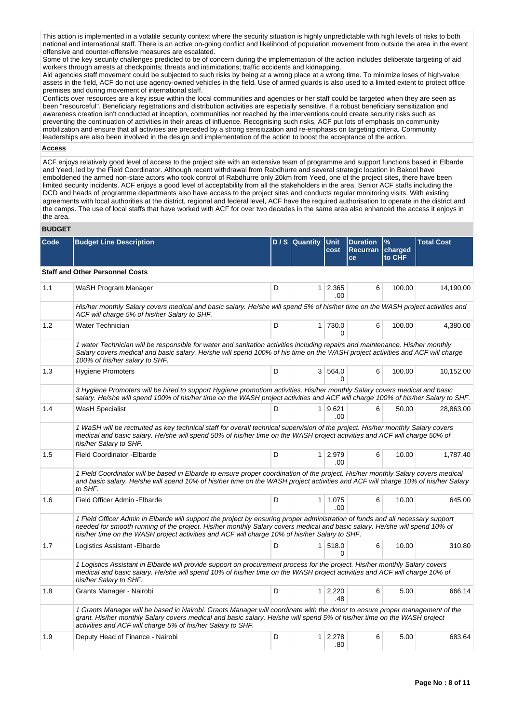This action is implemented in a volatile security context where the security situation is highly unpredictable with high levels of risks to both national and international staff. There is an active on-going conflict and likelihood of population movement from outside the area in the event offensive and counter-offensive measures are escalated.

Some of the key security challenges predicted to be of concern during the implementation of the action includes deliberate targeting of aid workers through arrests at checkpoints; threats and intimidations; traffic accidents and kidnapping.

Aid agencies staff movement could be subjected to such risks by being at a wrong place at a wrong time. To minimize loses of high-value assets in the field, ACF do not use agency-owned vehicles in the field. Use of armed guards is also used to a limited extent to protect office premises and during movement of international staff.

Conflicts over resources are a key issue within the local communities and agencies or her staff could be targeted when they are seen as been "resourceful". Beneficiary registrations and distribution activities are especially sensitive. If a robust beneficiary sensitization and awareness creation isn't conducted at inception, communities not reached by the interventions could create security risks such as preventing the continuation of activities in their areas of influence. Recognising such risks, ACF put lots of emphasis on community mobilization and ensure that all activities are preceded by a strong sensitization and re-emphasis on targeting criteria. Community leaderships are also been involved in the design and implementation of the action to boost the acceptance of the action.

### **Access**

ACF enjoys relatively good level of access to the project site with an extensive team of programme and support functions based in Elbarde and Yeed, led by the Field Coordinator. Although recent withdrawal from Rabdhurre and several strategic location in Bakool have emboldened the armed non-state actors who took control of Rabdhurre only 20km from Yeed, one of the project sites, there have been limited security incidents. ACF enjoys a good level of acceptability from all the stakeholders in the area. Senior ACF staffs including the DCD and heads of programme departments also have access to the project sites and conducts regular monitoring visits. With existing agreements with local authorities at the district, regional and federal level, ACF have the required authorisation to operate in the district and the camps. The use of local staffs that have worked with ACF for over two decades in the same area also enhanced the access it enjoys in the area.

### **BUDGET**

| Code | <b>Budget Line Description</b>                                                                                                                                                                                                                                                                                                                                |   | D / S   Quantity | <b>Unit</b><br>cost          | <b>Duration</b><br>Recurran<br>ce | $\frac{9}{6}$<br>charged<br>to CHF | <b>Total Cost</b> |
|------|---------------------------------------------------------------------------------------------------------------------------------------------------------------------------------------------------------------------------------------------------------------------------------------------------------------------------------------------------------------|---|------------------|------------------------------|-----------------------------------|------------------------------------|-------------------|
|      | <b>Staff and Other Personnel Costs</b>                                                                                                                                                                                                                                                                                                                        |   |                  |                              |                                   |                                    |                   |
| 1.1  | WaSH Program Manager                                                                                                                                                                                                                                                                                                                                          | D |                  | $1 \mid 2,365$<br>.00        | 6                                 | 100.00                             | 14,190.00         |
|      | His/her monthly Salary covers medical and basic salary. He/she will spend 5% of his/her time on the WASH project activities and<br>ACF will charge 5% of his/her Salary to SHF.                                                                                                                                                                               |   |                  |                              |                                   |                                    |                   |
| 1.2  | <b>Water Technician</b>                                                                                                                                                                                                                                                                                                                                       | D |                  | 1 730.0<br>$\Omega$          | 6                                 | 100.00                             | 4,380.00          |
|      | 1 water Technician will be responsible for water and sanitation activities including repairs and maintenance. His/her monthly<br>Salary covers medical and basic salary. He/she will spend 100% of his time on the WASH project activities and ACF will charge<br>100% of his/her salary to SHF.                                                              |   |                  |                              |                                   |                                    |                   |
| 1.3  | <b>Hygiene Promoters</b>                                                                                                                                                                                                                                                                                                                                      | D |                  | 3 564.0<br>0                 | 6                                 | 100.00                             | 10,152.00         |
|      | 3 Hygiene Promoters will be hired to support Hygiene promotiom activities. His/her monthly Salary covers medical and basic<br>salary. He/she will spend 100% of his/her time on the WASH project activities and ACF will charge 100% of his/her Salary to SHF.                                                                                                |   |                  |                              |                                   |                                    |                   |
| 1.4  | WasH Specialist                                                                                                                                                                                                                                                                                                                                               | D |                  | $1 \ 9.621$<br>.00           | 6                                 | 50.00                              | 28,863.00         |
|      | 1 WaSH will be rectruited as key technical staff for overall technical supervision of the project. His/her monthly Salary covers<br>medical and basic salary. He/she will spend 50% of his/her time on the WASH project activities and ACF will charge 50% of<br>his/her Salary to SHF.                                                                       |   |                  |                              |                                   |                                    |                   |
| 1.5  | Field Coordinator - Elbarde                                                                                                                                                                                                                                                                                                                                   | D |                  | $1 \mid 2,979$<br>.00        | 6                                 | 10.00                              | 1,787.40          |
|      | 1 Field Coordinator will be based in Elbarde to ensure proper coordination of the project. His/her monthly Salary covers medical<br>and basic salary. He/she will spend 10% of his/her time on the WASH project activities and ACF will charge 10% of his/her Salary<br>to SHF.                                                                               |   |                  |                              |                                   |                                    |                   |
| 1.6  | Field Officer Admin - Elbarde                                                                                                                                                                                                                                                                                                                                 | D |                  | 1   1,075<br>.00             | 6                                 | 10.00                              | 645.00            |
|      | 1 Field Officer Admin in Elbarde will support the project by ensuring proper administration of funds and all necessary support<br>needed for smooth running of the project. His/her monthly Salary covers medical and basic salary. He/she will spend 10% of<br>his/her time on the WASH project activities and ACF will charge 10% of his/her Salary to SHF. |   |                  |                              |                                   |                                    |                   |
| 1.7  | Logistics Assistant - Elbarde                                                                                                                                                                                                                                                                                                                                 | D |                  | 1   518.0<br>$\Omega$        | 6                                 | 10.00                              | 310.80            |
|      | 1 Logistics Assistant in Elbarde will provide support on procurement process for the project. His/her monthly Salary covers<br>medical and basic salary. He/she will spend 10% of his/her time on the WASH project activities and ACF will charge 10% of<br>his/her Salary to SHF.                                                                            |   |                  |                              |                                   |                                    |                   |
| 1.8  | Grants Manager - Nairobi                                                                                                                                                                                                                                                                                                                                      | D |                  | $1 \overline{)2,220}$<br>.48 | 6                                 | 5.00                               | 666.14            |
|      | 1 Grants Manager will be based in Nairobi. Grants Manager will coordinate with the donor to ensure proper management of the<br>grant. His/her monthly Salary covers medical and basic salary. He/she will spend 5% of his/her time on the WASH project<br>activities and ACF will charge 5% of his/her Salary to SHF.                                         |   |                  |                              |                                   |                                    |                   |
| 1.9  | Deputy Head of Finance - Nairobi                                                                                                                                                                                                                                                                                                                              | D | 1 <sup>1</sup>   | 2,278<br>.80                 | 6                                 | 5.00                               | 683.64            |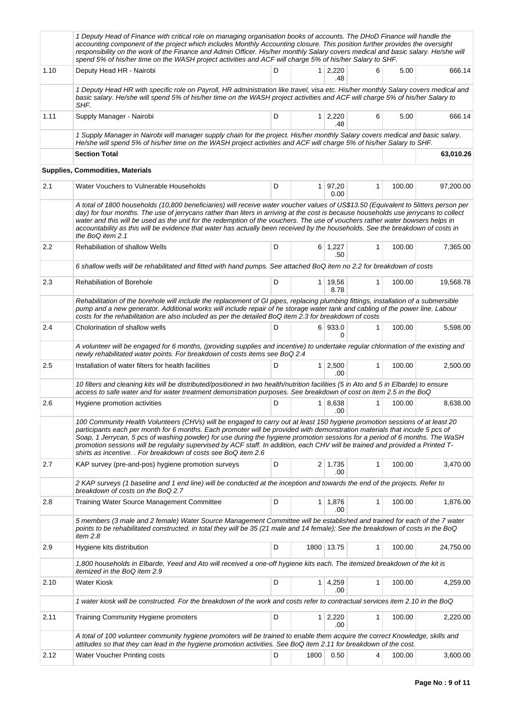|      | 1 Deputy Head of Finance with critical role on managing organisation books of accounts. The DHoD Finance will handle the<br>accounting component of the project which includes Monthly Accounting closure. This position further provides the oversight<br>responsibility on the work of the Finance and Admin Officer. His/her monthly Salary covers medical and basic salary. He/she will<br>spend 5% of his/her time on the WASH project activities and ACF will charge 5% of his/her Salary to SHF.                                                                                    |   |      |                              |              |        |           |
|------|--------------------------------------------------------------------------------------------------------------------------------------------------------------------------------------------------------------------------------------------------------------------------------------------------------------------------------------------------------------------------------------------------------------------------------------------------------------------------------------------------------------------------------------------------------------------------------------------|---|------|------------------------------|--------------|--------|-----------|
| 1.10 | Deputy Head HR - Nairobi                                                                                                                                                                                                                                                                                                                                                                                                                                                                                                                                                                   | D |      | $1 \overline{)2,220}$<br>.48 | 6            | 5.00   | 666.14    |
|      | 1 Deputy Head HR with specific role on Payroll, HR administration like travel, visa etc. His/her monthly Salary covers medical and<br>basic salary. He/she will spend 5% of his/her time on the WASH project activities and ACF will charge 5% of his/her Salary to<br>SHF.                                                                                                                                                                                                                                                                                                                |   |      |                              |              |        |           |
| 1.11 | Supply Manager - Nairobi                                                                                                                                                                                                                                                                                                                                                                                                                                                                                                                                                                   | D |      | $1 \mid 2,220$<br>.48        | 6            | 5.00   | 666.14    |
|      | 1 Supply Manager in Nairobi will manager supply chain for the project. His/her monthly Salary covers medical and basic salary.<br>He/she will spend 5% of his/her time on the WASH project activities and ACF will charge 5% of his/her Salary to SHF.                                                                                                                                                                                                                                                                                                                                     |   |      |                              |              |        |           |
|      | <b>Section Total</b>                                                                                                                                                                                                                                                                                                                                                                                                                                                                                                                                                                       |   |      |                              |              |        | 63,010.26 |
|      | <b>Supplies, Commodities, Materials</b>                                                                                                                                                                                                                                                                                                                                                                                                                                                                                                                                                    |   |      |                              |              |        |           |
| 2.1  | Water Vouchers to Vulnerable Households                                                                                                                                                                                                                                                                                                                                                                                                                                                                                                                                                    | D |      | $1 \mid 97,20$<br>0.00       | 1            | 100.00 | 97,200.00 |
|      | A total of 1800 households (10,800 beneficiaries) will receive water voucher values of US\$13.50 (Equivalent to 5litters person per<br>day) for four months. The use of jerrycans rather than liters in arriving at the cost is because households use jerrycans to collect<br>water and this will be used as the unit for the redemption of the vouchers. The use of vouchers rather water bowsers helps in<br>accountability as this will be evidence that water has actually been received by the households. See the breakdown of costs in<br>the BoQ item 2.1                         |   |      |                              |              |        |           |
| 2.2  | <b>Rehabiliation of shallow Wells</b>                                                                                                                                                                                                                                                                                                                                                                                                                                                                                                                                                      | D |      | 6 1,227<br>.50               | 1            | 100.00 | 7,365.00  |
|      | 6 shallow wells will be rehabilitated and fitted with hand pumps. See attached BoQ item no 2.2 for breakdown of costs                                                                                                                                                                                                                                                                                                                                                                                                                                                                      |   |      |                              |              |        |           |
| 2.3  | Rehabiliation of Borehole                                                                                                                                                                                                                                                                                                                                                                                                                                                                                                                                                                  | D |      | $1 \mid 19,56$<br>8.78       | $\mathbf{1}$ | 100.00 | 19,568.78 |
|      | Rehabilitation of the borehole will include the replacement of GI pipes, replacing plumbing fittings, installation of a submersible<br>pump and a new generator. Additional works will include repair of he storage water tank and cabling of the power line. Labour<br>costs for the rehabilitation are also included as per the detailed BoQ item 2.3 for breakdown of costs                                                                                                                                                                                                             |   |      |                              |              |        |           |
| 2.4  | Cholorination of shallow wells                                                                                                                                                                                                                                                                                                                                                                                                                                                                                                                                                             | D |      | $6$ 933.0<br>0               | 1            | 100.00 | 5,598.00  |
|      | A volunteer will be engaged for 6 months, (providing supplies and incentive) to undertake regular chlorination of the existing and<br>newly rehabilitated water points. For breakdown of costs items see BoQ 2.4                                                                                                                                                                                                                                                                                                                                                                           |   |      |                              |              |        |           |
| 2.5  | Installation of water filters for health facilities                                                                                                                                                                                                                                                                                                                                                                                                                                                                                                                                        | D |      | $1 \mid 2,500$<br>.00        | $\mathbf{1}$ | 100.00 | 2,500.00  |
|      | 10 filters and cleaning kits will be distributed/positioned in two health/nutrition facilities (5 in Ato and 5 in Elbarde) to ensure<br>access to safe water and for water treatment demonstration purposes. See breakdown of cost on item 2.5 in the BoQ                                                                                                                                                                                                                                                                                                                                  |   |      |                              |              |        |           |
| 2.6  | Hygiene promotion activities                                                                                                                                                                                                                                                                                                                                                                                                                                                                                                                                                               | D |      | $1 \mid 8,638$<br>.00        | 1            | 100.00 | 8,638.00  |
|      | 100 Community Health Volunteers (CHVs) will be engaged to carry out at least 150 hygiene promotion sessions of at least 20<br>participants each per month for 6 months. Each promoter will be provided with demonstration materials that incude 5 pcs of<br>Soap, 1 Jerrycan, 5 pcs of washing powder) for use during the hygiene promotion sessions for a period of 6 months. The WaSH<br>promotion sessions will be regulalry supervised by ACF staff. In addition, each CHV will be trained and provided a Printed T-<br>shirts as incentive. . For breakdown of costs see BoQ item 2.6 |   |      |                              |              |        |           |
| 2.7  | KAP survey (pre-and-pos) hygiene promotion surveys                                                                                                                                                                                                                                                                                                                                                                                                                                                                                                                                         | D |      | $2 \mid 1,735$<br>.00        | 1            | 100.00 | 3,470.00  |
|      | 2 KAP surveys (1 baseline and 1 end line) will be conducted at the inception and towards the end of the projects. Refer to<br>breakdown of costs on the BoQ 2.7                                                                                                                                                                                                                                                                                                                                                                                                                            |   |      |                              |              |        |           |
| 2.8  | Training Water Source Management Committee                                                                                                                                                                                                                                                                                                                                                                                                                                                                                                                                                 | D |      | 1 1,876<br>.00               | 1            | 100.00 | 1,876.00  |
|      | 5 members (3 male and 2 female) Water Source Management Committee will be established and trained for each of the 7 water<br>points to be rehabilitated constructed. in total they will be 35 (21 male and 14 female); See the breakdown of costs in the BoQ<br>item 2.8                                                                                                                                                                                                                                                                                                                   |   |      |                              |              |        |           |
| 2.9  | Hygiene kits distribution                                                                                                                                                                                                                                                                                                                                                                                                                                                                                                                                                                  | D |      | 1800 13.75                   | 1            | 100.00 | 24,750.00 |
|      | 1,800 households in Elbarde, Yeed and Ato will received a one-off hygiene kits each. The itemized breakdown of the kit is<br><i>itemized in the BoQ item 2.9</i>                                                                                                                                                                                                                                                                                                                                                                                                                           |   |      |                              |              |        |           |
| 2.10 | <b>Water Kiosk</b>                                                                                                                                                                                                                                                                                                                                                                                                                                                                                                                                                                         | D |      | $1 \mid 4,259$<br>.00        | 1            | 100.00 | 4,259.00  |
|      | 1 water kiosk will be constructed. For the breakdown of the work and costs refer to contractual services item 2.10 in the BoQ                                                                                                                                                                                                                                                                                                                                                                                                                                                              |   |      |                              |              |        |           |
| 2.11 | Training Community Hygiene promoters                                                                                                                                                                                                                                                                                                                                                                                                                                                                                                                                                       | D |      | $1 \mid 2,220$<br>.00        | $\mathbf{1}$ | 100.00 | 2,220.00  |
|      | A total of 100 volunteer community hygiene promoters will be trained to enable them acquire the correct Knowledge, skills and<br>attitudes so that they can lead in the hygiene promotion activities. See BoQ item 2.11 for breakdown of the cost.                                                                                                                                                                                                                                                                                                                                         |   |      |                              |              |        |           |
| 2.12 | Water Voucher Printing costs                                                                                                                                                                                                                                                                                                                                                                                                                                                                                                                                                               | D | 1800 | 0.50                         | 4            | 100.00 | 3,600.00  |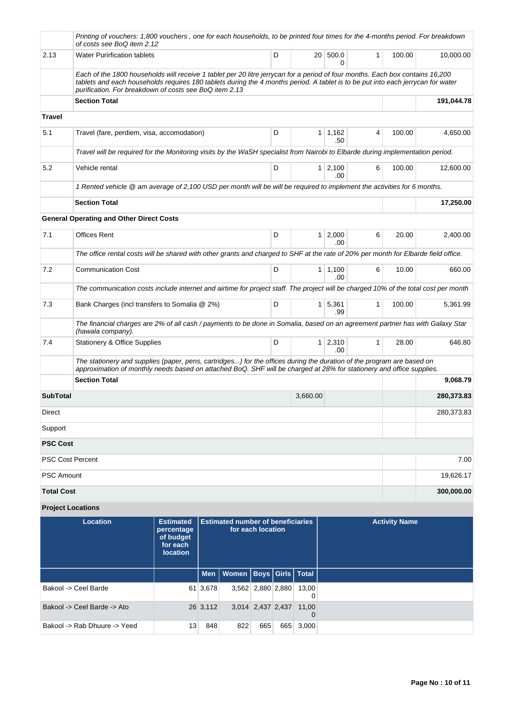|                             | <b>Location</b>                                                                                                                                                                                                                               | <b>Estimated</b><br>nercentage | <b>Estimated number of beneficiaries</b><br>for each location |   |  |                        |              | <b>Activity Name</b> |            |
|-----------------------------|-----------------------------------------------------------------------------------------------------------------------------------------------------------------------------------------------------------------------------------------------|--------------------------------|---------------------------------------------------------------|---|--|------------------------|--------------|----------------------|------------|
|                             | <b>Project Locations</b>                                                                                                                                                                                                                      |                                |                                                               |   |  |                        |              |                      |            |
| <b>Total Cost</b>           |                                                                                                                                                                                                                                               |                                |                                                               |   |  |                        |              |                      | 300,000.00 |
| <b>PSC Amount</b>           |                                                                                                                                                                                                                                               |                                |                                                               |   |  |                        |              |                      | 19,626.17  |
|                             | <b>PSC Cost Percent</b>                                                                                                                                                                                                                       |                                |                                                               |   |  |                        |              |                      | 7.00       |
| <b>PSC Cost</b>             |                                                                                                                                                                                                                                               |                                |                                                               |   |  |                        |              |                      |            |
| Support                     |                                                                                                                                                                                                                                               |                                |                                                               |   |  |                        |              |                      |            |
| Direct                      |                                                                                                                                                                                                                                               |                                |                                                               |   |  |                        |              |                      | 280,373.83 |
| <b>SubTotal</b><br>3,660.00 |                                                                                                                                                                                                                                               |                                |                                                               |   |  |                        |              |                      | 280,373.83 |
|                             | <b>Section Total</b>                                                                                                                                                                                                                          |                                |                                                               |   |  |                        |              |                      | 9,068.79   |
|                             | The stationery and supplies (paper, pens, cartridges) for the offices during the duration of the program are based on<br>approximation of monthly needs based on attached BoQ. SHF will be charged at 28% for stationery and office supplies. |                                |                                                               |   |  |                        |              |                      |            |
| 7.4                         | <b>Stationery &amp; Office Supplies</b>                                                                                                                                                                                                       |                                |                                                               | D |  | $1 \ 2,310$<br>.00.    | $\mathbf{1}$ | 28.00                | 646.80     |
|                             | The financial charges are 2% of all cash / payments to be done in Somalia, based on an agreement partner has with Galaxy Star<br>(hawala company).                                                                                            |                                |                                                               |   |  |                        |              |                      |            |
| 7.3                         | Bank Charges (incl transfers to Somalia @ 2%)                                                                                                                                                                                                 |                                |                                                               | D |  | 1 5,361<br>.99         | 1            | 100.00               | 5,361.99   |
|                             | The communication costs include internet and airtime for project staff. The project will be charged 10% of the total cost per month                                                                                                           |                                |                                                               |   |  |                        |              |                      |            |
| 7.2                         | <b>Communication Cost</b>                                                                                                                                                                                                                     |                                |                                                               | D |  | $1 \mid 1,100$<br>.00  | 6            | 10.00                | 660.00     |
|                             | The office rental costs will be shared with other grants and charged to SHF at the rate of 20% per month for Elbarde field office.                                                                                                            |                                |                                                               |   |  |                        |              |                      |            |
| 7.1                         | <b>Offices Rent</b>                                                                                                                                                                                                                           |                                |                                                               | D |  | $1 \quad 2,000$<br>.00 | 6            | 20.00                | 2,400.00   |
|                             | <b>General Operating and Other Direct Costs</b>                                                                                                                                                                                               |                                |                                                               |   |  |                        |              |                      |            |
|                             | <b>Section Total</b>                                                                                                                                                                                                                          |                                |                                                               |   |  |                        |              |                      | 17,250.00  |
|                             | 1 Rented vehicle @ am average of 2,100 USD per month will be will be required to implement the activities for 6 months.                                                                                                                       |                                |                                                               |   |  |                        |              |                      |            |
| 5.2                         | Vehicle rental                                                                                                                                                                                                                                |                                |                                                               | D |  | $1 \mid 2,100$<br>.00  | 6            | 100.00               | 12,600.00  |
|                             | Travel will be required for the Monitoring visits by the WaSH specialist from Nairobi to Elbarde during implementation period.                                                                                                                |                                |                                                               |   |  | .50                    |              |                      |            |
| 5.1                         | Travel (fare, perdiem, visa, accomodation)                                                                                                                                                                                                    |                                |                                                               | D |  | $1 \mid 1,162$         | 4            | 100.00               | 4,650.00   |
| Travel                      |                                                                                                                                                                                                                                               |                                |                                                               |   |  |                        |              |                      |            |
|                             | tablets and each households requires 180 tablets during the 4 months period. A tablet is to be put into each jerrycan for water<br>purification. For breakdown of costs see BoQ item 2.13<br><b>Section Total</b>                             |                                |                                                               |   |  |                        |              |                      | 191,044.78 |
|                             | Each of the 1800 households will receive 1 tablet per 20 litre jerrycan for a period of four months. Each box contains 16,200                                                                                                                 |                                |                                                               |   |  | 0                      |              |                      |            |
| 2.13                        | of costs see BoQ item 2.12<br><b>Water Purirfication tablets</b>                                                                                                                                                                              |                                |                                                               | D |  | 20 500.0               | 1            | 100.00               | 10,000.00  |
|                             | Printing of vouchers: 1,800 vouchers, one for each households, to be printed four times for the 4-months period. For breakdown                                                                                                                |                                |                                                               |   |  |                        |              |                      |            |

| $-000$                       | -Juniuvu<br>percentage<br>of budget<br>for each<br><b>location</b> | EJUTHUWA HUTHOL OI DONONDUTOJ<br>for each location |                                    |                   | <b>HOLLYRY HUILIV</b> |                         |  |
|------------------------------|--------------------------------------------------------------------|----------------------------------------------------|------------------------------------|-------------------|-----------------------|-------------------------|--|
|                              |                                                                    |                                                    | Men   Women   Boys   Girls   Total |                   |                       |                         |  |
| Bakool -> Ceel Barde         |                                                                    | 61 3,678                                           |                                    | 3,562 2,880 2,880 |                       | 13.00                   |  |
| Bakool -> Ceel Barde -> Ato  |                                                                    | 26 3,112                                           |                                    |                   |                       | 3,014 2,437 2,437 11,00 |  |
| Bakool -> Rab Dhuure -> Yeed | 13                                                                 | 848                                                | 822                                | 665               |                       | 665 3,000               |  |